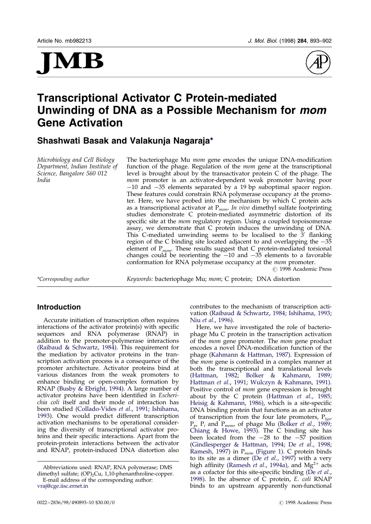





# Transcriptional Activator C Protein-mediated Unwinding of DNA as a Possible Mechanism for mom Gene Activation

Shashwati Basak and Valakunja Nagaraja\*

Microbiology and Cell Biology Department, Indian Institute of Science, Bangalore 560 012 India

The bacteriophage Mu *mom* gene encodes the unique DNA-modification function of the phage. Regulation of the mom gene at the transcriptional level is brought about by the transactivator protein C of the phage. The mom promoter is an activator-dependent weak promoter having poor  $-10$  and  $-35$  elements separated by a 19 bp suboptimal spacer region. These features could constrain RNA polymerase occupancy at the promoter. Here, we have probed into the mechanism by which C protein acts as a transcriptional activator at  $P_{mom}$ . In vivo dimethyl sulfate footprinting studies demonstrate C protein-mediated asymmetric distortion of its specific site at the *mom* regulatory region. Using a coupled topoisomerase assay, we demonstrate that C protein induces the unwinding of DNA. This C-mediated unwinding seems to be localised to the  $3'$  flanking region of the C binding site located adjacent to and overlapping the  $-35$ element of  $P_{mom}$ . These results suggest that C protein-mediated torsional changes could be reorienting the  $-10$  and  $-35$  elements to a favorable conformation for RNA polymerase occupancy at the mom promoter.  $\odot$  1998 Academic Press

\*Corresponding author Keywords: bacteriophage Mu; mom; C protein; DNA distortion

# Introduction

Accurate initiation of transcription often requires  $interactions of the activator protein(s) with specific$ sequences and RNA polymerase (RNAP) in addition to the promoter-polymerase interactions (Raibaud & [Schwartz,](#page-9-0) 1984). This requirement for the mediation by activator proteins in the transcription activation process is a consequence of the promoter architecture. Activator proteins bind at various distances from the weak promoters to enhance binding or open-complex formation by RNAP (Busby & [Ebright,](#page-8-0) 1994). A large number of activator proteins have been identified in Escherichia coli itself and their mode of interaction has been studied [\(Collado-Vides](#page-8-0) et al., 1991; [Ishihama,](#page-8-0) [1993\)](#page-8-0). One would predict different transcription activation mechanisms to be operational considering the diversity of transcriptional activator proteins and their specific interactions. Apart from the protein-protein interactions between the activator and RNAP, protein-induced DNA distortion also

contributes to the mechanism of transcription activation (Raibaud & [Schwartz,](#page-9-0) 1984; [Ishihama,](#page-8-0) 1993; Niu et al., [1996\).](#page-8-0)

Here, we have investigated the role of bacteriophage Mu C protein in the transcription activation of the *mom* gene promoter. The *mom* gene product encodes a novel DNA-modification function of the phage [\(Kahmann](#page-8-0) & Hattman, 1987). Expression of the *mom* gene is controlled in a complex manner at both the transcriptional and translational levels [\(Hattman,](#page-8-0) 1982; Bolker & [Kahmann,](#page-8-0) 1989; [Hattman](#page-8-0) et al., 1991; Wulczyn & [Kahmann,](#page-9-0) 1991). Positive control of *mom* gene expression is brought about by the C protein [\(Hattman](#page-8-0) et al.,  $1985$ ; Heisig & [Kahmann,](#page-8-0) 1986), which is a site-specific DNA binding protein that functions as an activator of transcription from the four late promoters,  $P_{\text{lws}}$ ,  $P_p$ ,  $P_i$  and  $P_{mom}$ , of phage Mu [\(Bolker](#page-8-0) *et al.*, 1989; [Chiang](#page-8-0) & Howe, 1993). The C binding site has been located from the  $-28$  to the  $-57$  position [\(Gindlesperger](#page-8-0) & Hattman, 1994; De et al., [1998;](#page-8-0) [Ramesh,](#page-9-0) 1997) in  $P_{mom}$  [\(Figure](#page-1-0) 1). C protein binds to its site as a dimer (De et al., [1997\)](#page-8-0) with a very high affinity [\(Ramesh](#page-9-0) et al., 1994a), and  $Mg^{2+}$  acts as a cofactor for this site-specific binding [\(De](#page-8-0)  $et$  al., [1998\).](#page-8-0) In the absence of  $\bar{C}$  protein, E. coli RNAP binds to an upstream apparently non-functional

E-mail address of the corresponding author: [vraj@cge.iisc.ernet.in](mailto:vraj@cge.iisc.ernet.in) Abbreviations used: RNAP, RNA polymerase; DMS dimethyl sulfate; (OP)<sub>2</sub>Cu, 1,10-phenanthroline-copper.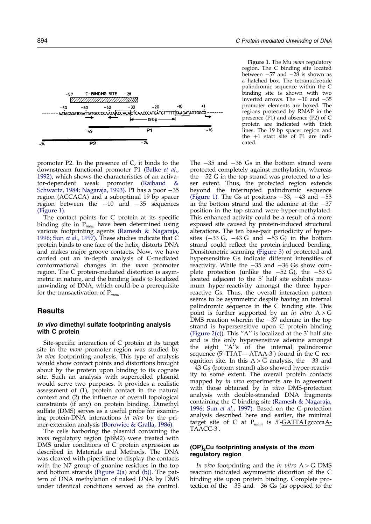<span id="page-1-0"></span>

promoter P2. In the presence of C, it binds to the downstream functional promoter P1 [\(Balke](#page-8-0) et al., [1992\),](#page-8-0) which shows the characteristics of an activator-dependent weak promoter [\(Raibaud](#page-9-0) & [Schwartz,](#page-9-0) 1984; [Nagaraja,](#page-8-0) 1993). P1 has a poor  $-35$ region (ACCACA) and a suboptimal 19 bp spacer region between the  $-10$  and  $-35$  sequences (Figure 1).

The contact points for  $C$  protein at its specific binding site in  $P_{mom}$  have been determined using various footprinting agents (Ramesh & [Nagaraja,](#page-9-0) [1996;](#page-9-0) Sun et al., [1997\).](#page-9-0) These studies indicate that C protein binds to one face of the helix, distorts DNA and makes major groove contacts. Now, we have carried out an in-depth analysis of C-mediated conformational changes in the mom promoter region. The C protein-mediated distortion is asymmetric in nature, and the binding leads to localized unwinding of DNA, which could be a prerequisite for the transactivation of  $P_{mom}$ .

# **Results**

## In vivo dimethyl sulfate footprinting analysis with C protein

Site-specific interaction of C protein at its target site in the mom promoter region was studied by in vivo footprinting analysis. This type of analysis would show contact points and distortions brought about by the protein upon binding to its cognate site. Such an analysis with supercoiled plasmid would serve two purposes. It provides a realistic assessment of (1), protein contact in the natural context and (2) the influence of overall topological constraints (if any) on protein binding. Dimethyl sulfate (DMS) serves as a useful probe for examining protein-DNA interactions in vivo by the primer-extension analysis [\(Borowiec](#page-8-0) & Gralla, 1986).

The cells harboring the plasmid containing the mom regulatory region (pBM2) were treated with DMS under conditions of C protein expression as described in Materials and Methods. The DNA was cleaved with piperidine to display the contacts with the N7 group of guanine residues in the top and bottom strands [\(Figure](#page-2-0) 2(a) and [\(b\)\).](#page-2-0) The pattern of DNA methylation of naked DNA by DMS under identical conditions served as the control.

Figure 1. The Mu *mom* regulatory region. The C binding site located between  $-57$  and  $-28$  is shown as a hatched box. The tetranucleotide palindromic sequence within the C binding site is shown with two inverted arrows. The  $-10$  and  $-35$ promoter elements are boxed. The regions protected by RNAP in the presence (P1) and absence (P2) of C protein are indicated with thick lines. The 19 bp spacer region and the  $+1$  start site of P1 are indicated.

The  $-35$  and  $-36$  Gs in the bottom strand were protected completely against methylation, whereas the  $-52$  G in the top strand was protected to a lesser extent. Thus, the protected region extends beyond the interrupted palindromic sequence (Figure 1). The Gs at positions  $-33$ ,  $-43$  and  $-53$ in the bottom strand and the adenine at the  $-37$ position in the top strand were hyper-methylated. This enhanced activity could be a result of a more exposed site caused by protein-induced structural alterations. The ten base-pair periodicity of hypersites  $(-33 \text{ G}, -43 \text{ G} \text{ and } -53 \text{ G})$  in the bottom strand could reflect the protein-induced bending. Densitometric scanning [\(Figure](#page-3-0) 3) of protected and hypersensitive Gs indicate different intensities of reactivity. While the  $-35$  and  $-36$  Gs show complete protection (unlike the  $-52$  G), the  $-53$  G located adjacent to the 5' half site exhibits maximum hyper-reactivity amongst the three hyperreactive Gs. Thus, the overall interaction pattern seems to be asymmetric despite having an internal palindromic sequence in the C binding site. This point is further supported by an in vitro  $A > G$ DMS reaction wherein the  $-37$  adenine in the top strand is hypersensitive upon C protein binding [\(Figure](#page-2-0) 2(c)). This "A" is localized at the 3' half site and is the only hypersensitive adenine amongst the eight  $'A$ ''s of the internal palindromic sequence (5'-TTAT—ATA<u>A</u>-3') found in the C recognition site. In this  $A > G$  analysis, the  $-33$  and  $-43$  Gs (bottom strand) also showed hyper-reactivity to some extent. The overall protein contacts mapped by in vivo experiments are in agreement with those obtained by *in vitro* DMS-protection analysis with double-stranded DNA fragments containing the C binding site (Ramesh & [Nagaraja,](#page-9-0) [1996;](#page-9-0) Sun et al., [1997\).](#page-9-0) Based on the G-protection analysis described here and earlier, the minimal target site of C at P<sub>mom</sub> is 5'-<u>GATTATg</u>cccca<u>A-</u> <u>TAACC</u>-3'.

## (OP)<sub>2</sub>Cu footprinting analysis of the mom regulatory region

In vivo footprinting and the in vitro  $A > G$  DMS reaction indicated asymmetric distortion of the C binding site upon protein binding. Complete protection of the  $-35$  and  $-36$  Gs (as opposed to the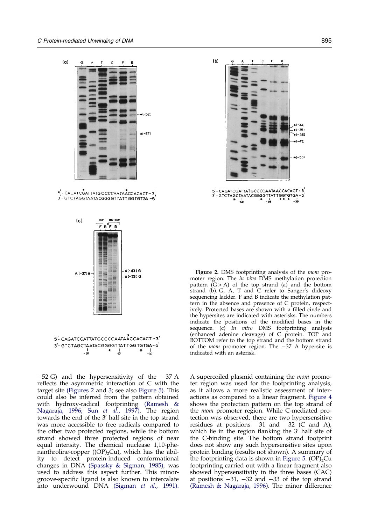<span id="page-2-0"></span>

 $5 - CAGATCGATTATG CCCCAATAACCACAT - 3)$ 3-GTCTAGGTAATACGGGGTTATTGGTGTGA-5



5'- CAGATCGATTATGCCCCAATAACCACACT-3' 3'-GTCTAGCTAATACGGGGTTATTGGTGTGA-5  $*$   $\frac{1}{-30}$  $-50$  $*$   $10$ 

 $-52$  G) and the hypersensitivity of the  $-37$  A reflects the asymmetric interaction of  $C$  with the target site (Figures 2 [and](#page-3-0) 3; see also [Figure](#page-3-0) 5). This could also be inferred from the pattern obtained with hydroxy-radical footprinting [\(Ramesh](#page-9-0) & [Nagaraja,](#page-9-0) 1996; Sun et al., [1997\).](#page-9-0) The region towards the end of the 3' half site in the top strand was more accessible to free radicals compared to the other two protected regions, while the bottom strand showed three protected regions of near equal intensity. The chemical nuclease 1,10-phenanthroline-copper  $((OP)_{2}Cu)$ , which has the ability to detect protein-induced conformational changes in DNA [\(Spassky](#page-9-0) & Sigman, 1985), was used to address this aspect further. This minorgroove-specific ligand is also known to intercalate into underwound DNA [\(Sigman](#page-9-0) et al., 1991).



Figure 2. DMS footprinting analysis of the *mom* promoter region. The in vivo DMS methylation protection pattern  $(G > A)$  of the top strand  $(a)$  and the bottom strand (b). G, A, T and  $\overline{C}$  refer to Sanger's dideoxy sequencing ladder. F and B indicate the methylation pattern in the absence and presence of C protein, respectively. Protected bases are shown with a filled circle and the hypersites are indicated with asterisks. The numbers indicate the positions of the modified bases in the sequence. (c) *In vitro* DMS footprinting analysis (enhanced adenine cleavage) of C protein. TOP and BOTTOM refer to the top strand and the bottom strand of the *mom* promoter region. The  $-37$  A hypersite is indicated with an asterisk.

A supercoiled plasmid containing the mom promoter region was used for the footprinting analysis, as it allows a more realistic assessment of interactions as compared to a linear fragment. [Figure](#page-3-0) 4 shows the protection pattern on the top strand of the mom promoter region. While C-mediated protection was observed, there are two hypersensitive residues at positions  $-31$  and  $-32$  (C and A), which lie in the region flanking the  $3'$  half site of the C-binding site. The bottom strand footprint does not show any such hypersensitive sites upon protein binding (results not shown). A summary of the footprinting data is shown in [Figure](#page-3-0) 5.  $(OP)_{2}Cu$ footprinting carried out with a linear fragment also showed hypersensitivity in the three bases (CAC) at positions  $-31$ ,  $-32$  and  $-33$  of the top strand (Ramesh & [Nagaraja,](#page-9-0) 1996). The minor difference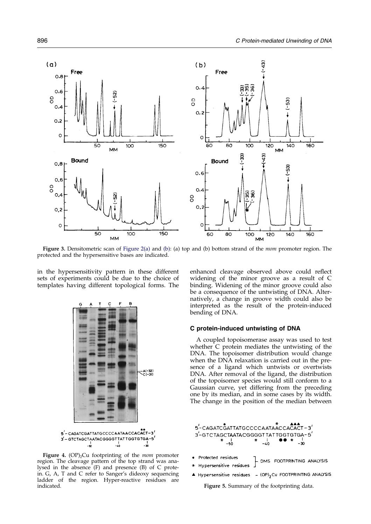<span id="page-3-0"></span>

Figure 3. Densitometric scan of [Figure](#page-2-0) 2(a) and [\(b\):](#page-2-0) (a) top and (b) bottom strand of the mom promoter region. The protected and the hypersensitive bases are indicated.

in the hypersensitivity pattern in these different sets of experiments could be due to the choice of templates having different topological forms. The



Figure 4.  $(OP)$ <sub>2</sub>Cu footprinting of the *mom* promoter region. The cleavage pattern of the top strand was analysed in the absence (F) and presence (B) of C protein. G, A, T and C refer to Sanger's dideoxy sequencing ladder of the region. Hyper-reactive residues are indicated.

enhanced cleavage observed above could reflect widening of the minor groove as a result of C binding. Widening of the minor groove could also be a consequence of the untwisting of DNA. Alternatively, a change in groove width could also be interpreted as the result of the protein-induced bending of DNA.

#### C protein-induced untwisting of DNA

A coupled topoisomerase assay was used to test whether C protein mediates the untwisting of the DNA. The topoisomer distribution would change when the DNA relaxation is carried out in the presence of a ligand which untwists or overtwists DNA. After removal of the ligand, the distribution of the topoisomer species would still conform to a Gaussian curve, yet differing from the preceding one by its median, and in some cases by its width. The change in the position of the median between



- (OP)<sub>2</sub> Cu FOOTPRINTING ANALYSIS A Hypersensitive residues

Figure 5. Summary of the footprinting data.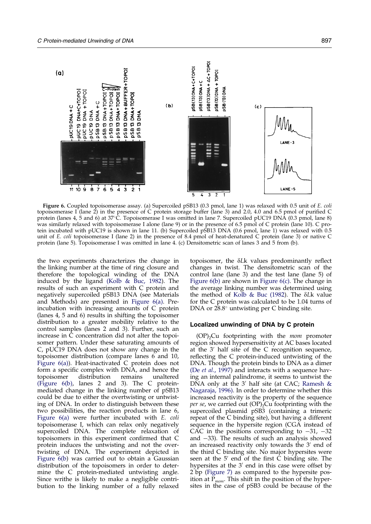

Figure 6. Coupled topoisomerase assay. (a) Supercoiled pSB13 (0.3 pmol, lane 1) was relaxed with 0.5 unit of E. coli topoisomerase I (lane 2) in the presence of C protein storage buffer (lane 3) and 2.0, 4.0 and 6.5 pmol of purified C protein (lanes 4, 5 and 6) at 37°C. Topoisomerase I was omitted in lane 7. Supercoiled pUC19 DNA (0.3 pmol, lane 8) was similarly relaxed with topoisomerase I alone (lane 9) or in the presence of 6.5 pmol of C protein (lane 10). C protein incubated with pUC19 is shown in lane 11. (b) Supercoiled pSB13 DNA (0.6 pmol, lane 1) was relaxed with 0.5 unit of E. coli topoisomerase I (lane 2) in the presence of 8.4 pmol of heat-denatured C protein (lane 3) or native C protein (lane 5). Topoisomerase I was omitted in lane 4. (c) Densitometric scan of lanes 3 and 5 from (b).

the two experiments characterizes the change in the linking number at the time of ring closure and therefore the topological winding of the DNA induced by the ligand [\(Kolb](#page-8-0) & Buc, 1982). The results of such an experiment with C protein and negatively supercoiled pSB13 DNA (see Materials and Methods) are presented in Figure 6(a). Preincubation with increasing amounts of C protein (lanes 4, 5 and 6) results in shifting the topoisomer distribution to a greater mobility relative to the control samples (lanes 2 and 3). Further, such an increase in  $\overline{C}$  concentration did not alter the topoisomer pattern. Under these saturating amounts of C, pUC19 DNA does not show any change in the topoisomer distribution (compare lanes 6 and 10, Figure 6(a)). Heat-inactivated C protein does not form a specific complex with DNA, and hence the topoisomer distribution remains unaltered (Figure 6(b), lanes 2 and 3). The C proteinmediated change in the linking number of pSB13 could be due to either the overtwisting or untwisting of DNA. In order to distinguish between these two possibilities, the reaction products in lane 6, Figure 6(a) were further incubated with E. coli topoisomerase I, which can relax only negatively supercoiled DNA. The complete relaxation of topoisomers in this experiment confirmed that C protein induces the untwisting and not the overtwisting of DNA. The experiment depicted in Figure 6(b) was carried out to obtain a Gaussian distribution of the topoisomers in order to determine the C protein-mediated untwisting angle. Since writhe is likely to make a negligible contribution to the linking number of a fully relaxed

topoisomer, the  $\delta Lk$  values predominantly reflect changes in twist. The densitometric scan of the control lane (lane 3) and the test lane (lane 5) of Figure 6(b) are shown in Figure 6(c). The change in the average linking number was determined using the method of Kolb & Buc [\(1982\).](#page-8-0) The  $\delta L$ k value for the C protein was calculated to be 1.04 turns of DNA or  $28.8^\circ$  untwisting per C binding site.

#### Localized unwinding of DNA by C protein

 $(OP)$ <sub>2</sub>Cu footprinting with the *mom* promoter region showed hypersensitivity at AC bases located at the  $3'$  half site of the C recognition sequence, reflecting the C protein-induced untwisting of the DNA. Though the protein binds to DNA as a dimer (De et al., [1997\)](#page-8-0) and interacts with a sequence having an internal palindrome, it seems to untwist the DNA only at the 3' half site (at CAC; [Ramesh](#page-9-0)  $\&$ [Nagaraja,](#page-9-0) 1996). In order to determine whether this increased reactivity is the property of the sequence *per se,* we carried out  $(OP)$ <sub>2</sub>Cu footprinting with the supercoiled plasmid pSB3 (containing a trimeric repeat of the C binding site), but having a different sequence in the hypersite region (CGA instead of CAC in the positions corresponding to  $-31$ ,  $-32$ and  $-33$ ). The results of such an analysis showed an increased reactivity only towards the  $3'$  end of the third C binding site. No major hypersites were seen at the  $5'$  end of the first C binding site. The hypersites at the  $3'$  end in this case were offset by 2 bp [\(Figure](#page-5-0) 7) as compared to the hypersite position at  $\tilde{P}_{mom}$ . This shift in the position of the hypersites in the case of pSB3 could be because of the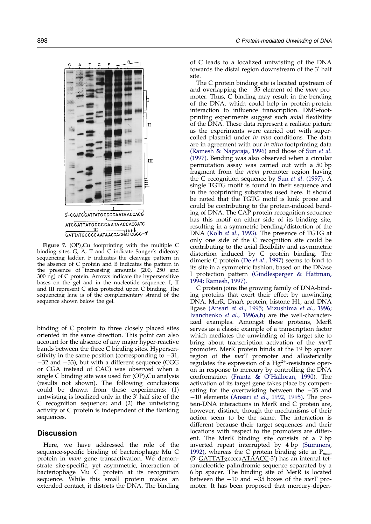<span id="page-5-0"></span>

Figure 7.  $(OP)$ <sub>2</sub>Cu footprinting with the multiple C binding sites. G, A, T and C indicate Sanger's dideoxy sequencing ladder. F indicates the cleavage pattern in the absence of C protein and B indicates the pattern in the presence of increasing amounts (200, 250 and 300 ng) of C protein. Arrows indicate the hypersensitive bases on the gel and in the nucleotide sequence. I, II and III represent C sites protected upon C binding. The sequencing lane is of the complementary strand of the sequence shown below the gel.

binding of C protein to three closely placed sites oriented in the same direction. This point can also account for the absence of any major hyper-reactive bands between the three C binding sites. Hypersensitivity in the same position (corresponding to  $-31$ ,  $-32$  and  $-33$ ), but with a different sequence (CGG or CGA instead of CAC) was observed when a single C binding site was used for  $OP$ <sub>2</sub>Cu analysis (results not shown). The following conclusions could be drawn from these experiments: (1) untwisting is localized only in the  $3'$  half site of the C recognition sequence; and (2) the untwisting activity of  $C$  protein is independent of the flanking sequences.

# **Discussion**

Here, we have addressed the role of the sequence-specific binding of bacteriophage Mu C protein in mom gene transactivation. We demonstrate site-specific, yet asymmetric, interaction of bacteriophage Mu C protein at its recognition sequence. While this small protein makes an extended contact, it distorts the DNA. The binding

of C leads to a localized untwisting of the DNA towards the distal region downstream of the 3<sup>'</sup> half site.

The C protein binding site is located upstream of and overlapping the  $-35$  element of the *mom* promoter. Thus, C binding may result in the bending of the DNA, which could help in protein-protein interaction to influence transcription. DMS-footprinting experiments suggest such axial flexibility of the DNA. These data represent a realistic picture as the experiments were carried out with supercoiled plasmid under in vivo conditions. The data are in agreement with our *in vitro* footprinting data (Ramesh & [Nagaraja,](#page-9-0) 1996) and those of [Sun](#page-9-0) et al. [\(1997\).](#page-9-0) Bending was also observed when a circular permutation assay was carried out with a 50 bp fragment from the mom promoter region having the C recognition sequence by Sun et al. [\(1997\).](#page-9-0) A single TGTG motif is found in their sequence and in the footprinting substrates used here. It should be noted that the TGTG motif is kink prone and could be contributing to the protein-induced bending of DNA. The CAP protein recognition sequence has this motif on either side of its binding site, resulting in a symmetric bending/distortion of the DNA [\(Kolb](#page-8-0) et al., 1993). The presence of TGTG at only one side of the C recognition site could be contributing to the axial flexibility and asymmetric distortion induced by C protein binding. The dimeric C protein (De *et al.,* [1997\)](#page-8-0) seems to bind to its site in a symmetric fashion, based on the DNase I protection pattern [\(Gindlesperger](#page-8-0) & Hattman, [1994;](#page-8-0) [Ramesh,](#page-9-0) 1997).

C protein joins the growing family of DNA-binding proteins that exert their effect by unwinding DNA. MerR, DnaA protein, histone H1, and DNA ligase [\(Ansari](#page-8-0) et al., 1995; [Mizushima](#page-8-0) et al., 1996; [Ivanchenko](#page-8-0) et al., 1996a,b) are the well-characterized examples. Amongst these proteins, MerR serves as a classic example of a transcription factor which mediates the unwinding of its target site to bring about transcription activation of the merT promoter. MerR protein binds at the 19 bp spacer region of the *mer*T promoter and allosterically regulates the expression of a  $Hg^{2+}$ -resistance operon in response to mercury by controlling the DNA conformation (Frantz & [O'Halloran,](#page-8-0) 1990). The activation of its target gene takes place by compensating for the overtwisting between the  $-35$  and  $-10$  elements [\(Ansari](#page-8-0) et al., 1992, 1995). The protein-DNA interactions in MerR and C protein are, however, distinct, though the mechanisms of their action seem to be the same. The interaction is different because their target sequences and their locations with respect to the promoters are different. The MerR binding site consists of a 7 bp inverted repeat interrupted by 4 bp [\(Summers,](#page-9-0) [1992\),](#page-9-0) whereas the C protein binding site in  $P_{mom}$ (5'-<u>GATTATg</u>cccca<u>ATAACC</u>-3') has an internal tetranucleotide palindromic sequence separated by a 6 bp spacer. The binding site of MerR is located between the  $-10$  and  $-\overline{35}$  boxes of the merT promoter. It has been proposed that mercury-depen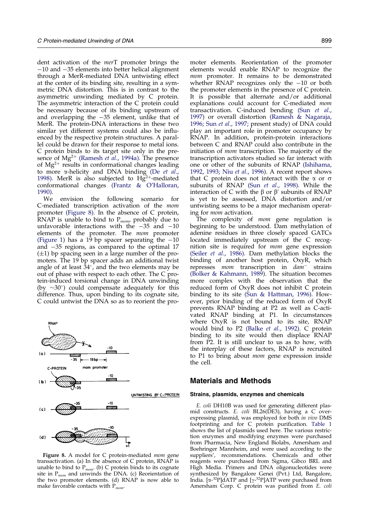dent activation of the merT promoter brings the  $-10$  and  $-35$  elements into better helical alignment through a MerR-mediated DNA untwisting effect at the center of its binding site, resulting in a symmetric DNA distortion. This is in contrast to the asymmetric unwinding mediated by C protein. The asymmetric interaction of the C protein could be necessary because of its binding upstream of and overlapping the  $-35$  element, unlike that of MerR. The protein-DNA interactions in these two similar yet different systems could also be influenced by the respective protein structures. A parallel could be drawn for their response to metal ions. C protein binds to its target site only in the presence of  $Mg^{2+}$  [\(Ramesh](#page-9-0) et al., 1994a). The presence of  $Mg^{2+}$  results in conformational changes leading to more *a*-helicity and DNA binding [\(De](#page-8-0) et al., [1998\).](#page-8-0) MerR is also subjected to  $Hg^{2+}$ -mediated conformational changes (Frantz & [O'Halloran,](#page-8-0) [1990\).](#page-8-0)

We envision the following scenario for C-mediated transcription activation of the mom promoter (Figure 8). In the absence of C protein, RNAP is unable to bind to  $P_{mom}$ , probably due to unfavorable interactions with the  $-35$  and  $-10$ elements of the promoter. The mom promoter [\(Figure](#page-1-0) 1) has a 19 bp spacer separating the  $-10$ and  $-35$  regions, as compared to the optimal 17  $(\pm 1)$  bp spacing seen in a large number of the promoters. The 19 bp spacer adds an additional twist angle of at least  $34^\circ$ , and the two elements may be out of phase with respect to each other. The C protein-induced torsional change in DNA unwinding (by  $\sim 30^{\circ}$ ) could compensate adequately for this difference. Thus, upon binding to its cognate site, C could untwist the DNA so as to reorient the pro-



Figure 8. A model for C protein-mediated mom gene transactivation. (a) In the absence of C protein, RNAP is unable to bind to  $P_{mom}$ . (b) C protein binds to its cognate site in  $P_{mom}$  and unwinds the DNA. (c) Reorientation of the two promoter elements. (d) RNAP is now able to make favorable contacts with  $P_{mom}$ .

moter elements. Reorientation of the promoter elements would enable RNAP to recognize the mom promoter. It remains to be demonstrated whether RNAP recognizes only the  $-10$  or both the promoter elements in the presence of C protein. It is possible that alternate and/or additional explanations could account for C-mediated mom transactivation. C-induced bending [\(Sun](#page-9-0) et al., [1997\)](#page-9-0) or overall distortion (Ramesh & [Nagaraja,](#page-9-0) [1996;](#page-9-0) Sun et al., [1997;](#page-9-0) present study) of DNA could play an important role in promoter occupancy by RNAP. In addition, protein-protein interactions between C and RNAP could also contribute in the initiation of mom transcription. The majority of the transcription activators studied so far interact with one or other of the subunits of RNAP [\(Ishihama,](#page-8-0) [1992,](#page-8-0) [1993;](#page-8-0) Niu et al., [1996\).](#page-8-0) A recent report shows that C protein does not interact with the  $\alpha$  or  $\sigma$ subunits of RNAP (Sun et al., [1998\).](#page-9-0) While the interaction of C with the  $\beta$  or  $\beta'$  subunits of RNAP is yet to be assessed, DNA distortion and/or untwisting seems to be a major mechanism operating for mom activation.

The complexity of mom gene regulation is beginning to be understood. Dam methylation of adenine residues in three closely spaced GATCs located immediately upstream of the C recognition site is required for mom gene expression [\(Seiler](#page-9-0) et al., 1986). Dam methylation blocks the binding of another host protein, OxyR, which represses *mom* transcription in  $dam^-$  strains (Bolker & [Kahmann,](#page-8-0) 1989). The situation becomes more complex with the observation that the reduced form of OxyR does not inhibit C protein binding to its site (Sun & [Hattman,](#page-9-0) 1996). However, prior binding of the reduced form of OxyR prevents RNAP binding at P2 as well as C-activated RNAP binding at P1. In circumstances where OxyR is not bound to its site, RNAP would bind to P2 [\(Balke](#page-8-0) et al., 1992). C protein binding to its site would then displace RNAP from P2. It is still unclear to us as to how, with the interplay of these factors, RNAP is recruited to P1 to bring about mom gene expression inside the cell.

## Materials and Methods

#### Strains, plasmids, enzymes and chemicals

E. coli DH10B was used for generating different plasmid constructs. E. coli BL26(DE3), having a C overexpressing plasmid, was employed for both in vivo DMS footprinting and for C protein purification. [Table](#page-7-0) 1 shows the list of plasmids used here. The various restriction enzymes and modifying enzymes were purchased from Pharmacia, New England Biolabs, Amersham and Boehringer Mannheim, and were used according to the suppliers', recommendations. Chemicals and other reagents were purchased from Sigma, Gibco BRL and High Media. Primers and DNA oligonucleotides were synthesized by Bangalore Genei (Pvt.) Ltd, Bangalore, India. [α-<sup>32</sup>P]dATP and [γ-<sup>32</sup>P]ATP were purchased from Amersham Corp. C protein was purified from E. coli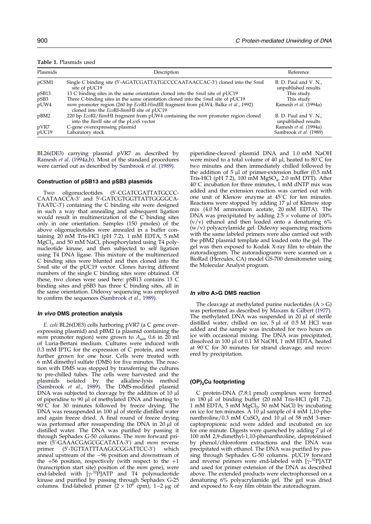<span id="page-7-0"></span>

| Plasmids | Description                                                                                                                                          | Reference                                    |
|----------|------------------------------------------------------------------------------------------------------------------------------------------------------|----------------------------------------------|
| pCSM1    | Single C binding site (5'-AGATCGATTATGCCCCAATAACCAC-3') cloned into the Smal<br>site of pUC19                                                        | B. D. Paul and V. N.,<br>unpublished results |
| pSB13    | 13 C binding sites in the same orientation cloned into the <i>Smal</i> site of pUC19                                                                 | This study                                   |
| pSB3     | Three C-binding sites in the same orientation cloned into the <i>Smal</i> site of pUC19                                                              | This study                                   |
| pUW4     | <i>mom</i> promoter region (260 bp <i>EcoRI-HindIII</i> fragment from pLW4; Balke <i>et al.</i> , 1992)<br>cloned into the EcoRI-BamHI site of pUC19 | Ramesh et al. (1994a)                        |
| pBM2     | 220 bp <i>EcoRI/BamHI</i> fragment from pUW4 containing the <i>mom</i> promoter region cloned<br>into the BanII site of the pLysS vector             | B. D. Paul and V. N.,<br>unpublished results |
| pVR7     | C-gene overexpressing plasmid                                                                                                                        | Ramesh et al. (1994a)                        |
| pUC19    | Laboratory stock                                                                                                                                     | Sambrook et al. (1989)                       |

BL26(DE3) carrying plasmid pVR7 as described by Ramesh et al. [\(1994a,b\)](#page-9-0). Most of the standard procedures were carried out as described by [Sambrook](#page-9-0) et al. (1989).

## Construction of pSB13 and pSB3 plasmids

Two oligonucleotides (5'-CGATCGATTATGCCC-CAATAACCA-3′ and 5'-GATCGTGGTTATTGGGGCA-TAATC-3') containing the C binding site were designed in such a way that annealing and subsequent ligation would result in multimerization of the C binding sites only in one orientation. Samples (150 pmoles) of the above oligonucleotides were annealed in a buffer containing  $20$  mM Tris-HCl (pH 7.2), 1 mM EDTA, 5 mM  $MgCl<sub>2</sub>$ , and 50 mM NaCl, phosphorylated using T4 polynucleotide kinase, and then subjected to self ligation using T4 DNA ligase. This mixture of the multimerized C binding sites were blunted and then cloned into the SmaI site of the pUC19 vector. Clones having different numbers of the single C binding sites were obtained. Of these, two clones were used here: pSB13 contains 13 C binding sites and pSB3 has three C binding sites, all in the same orientation. Dideoxy sequencing was employed to confirm the sequences [\(Sambrook](#page-9-0) et al., 1989).

#### In vivo DMS protection analysis

E. coli BL26(DE3) cells harboring pVR7 (a C gene overexpressing plasmid) and pBM2 (a plasmid containing the *mom* promoter region) were grown to  $A_{600}$  0.6 in 20 ml of Luria-Bertani medium. Cultures were induced with 0.3 mM IPTG for the expression of C protein, and were further grown for one hour. Cells were treated with 6 mM dimethyl sulfate (DMS) for five minutes. The reaction with DMS was stopped by transferring the cultures to pre-chilled tubes. The cells were harvested and the plasmids isolated by the alkaline-lysis method plasmids isolated by the alkaline-lysis method [\(Sambrook](#page-9-0) et al., 1989). The DMS-modified plasmid DNA was subjected to cleavage by the addition of 10 µl of piperidine to 90 ml of methylated DNA and heating to  $90^{\circ}$ C for 30 minutes followed by freeze drying. The DNA was resuspended in 100 µl of sterile distilled water and again freeze dried. A final round of freeze drying was performed after resuspending the DNA in 20 ul of distilled water. The DNA was purified by passing it through Sephadex G-50 columns. The mom forward primer (5'-GAAACGAGCGCATATA-3') and mom reverse primer (5'-TGTTATTTAAGGCGGATTCC-3') ) which anneal upstream of the  $-96$  position and downstream of the  $+56$  position, respectively (with respect to the  $+1$ (transcription start site) position of the mom gene), were end-labeled with  $[\gamma^{-32} \tilde{P}]$ ATP and T4 polynucleotide kinase and purified by passing through Sephadex G-25 columns. End-labeled primer  $(2 \times 10^6 \text{ cm})$ , 1–2 µg of

piperidine-cleaved plasmid DNA and 1.0 mM NaOH were mixed to a total volume of 40  $\mu$ l, heated to 80 $\degree$ C for two minutes and then immediately chilled followed by the addition of  $5 \mu l$  of primer-extension buffer (0.5 mM Tris-HCl (pH 7.2), 100 mM MgSO<sub>4</sub>, 2.0 mM DTT). After  $40^{\circ}$ C incubation for three minutes, 1 mM dNTP mix was added and the extension reaction was carried out with one unit of Klenow enzyme at  $45^{\circ}$ C for ten minutes. Reactions were stopped by adding 17 µl of Klenow stop mix (4.0 M ammonium acetate, 20 mM EDTA). The DNA was precipitated by adding  $2.5 \times$  volume of  $100\%$  $(v/v)$  ethanol and then loaded onto a denaturing  $6\%$ (w/v) polyacrylamide gel. Dideoxy sequencing reactions with the same labeled primers were also carried out with the pBM2 plasmid template and loaded onto the gel. The gel was then exposed to Kodak X-ray film to obtain the autoradiogram. The autoradiograms were scanned on a BioRad (Hercules, CA) model GS-700 densitometer using the Molecular Analyst program.

#### In vitro A>G DMS reaction

The cleavage at methylated purine nucleotides  $(A > G)$ was performed as described by [Maxam](#page-8-0) & Gilbert (1977). The methylated DNA was suspended in  $20 \mu l$  of sterile distilled water, chilled on ice,  $5 \mu l$  of 0.5 M HCl was added and the sample was incubated for two hours on ice with occasional mixing. The DNA was precipitated, dissolved in 100 µl of 0.1 M NaOH, 1 mM EDTA, heated at  $90^{\circ}$ C for 30 minutes for strand cleavage, and recovered by precipitation.

#### $(OP)_{2}$ Cu footprinting

C protein-DNA (7.8:1 pmol) complexes were formed in  $180 \mu l$  of binding buffer (20 mM Tris-HCl (pH 7.2), 1 mM EDTA, 5 mM  $MgCl<sub>2</sub>$ , 50 mM NaCl) by incubating on ice for ten minutes.  $\overline{A}$  10 µl sample of 4 mM 1,10-phenanthroline/0.3 mM  $CuSO<sub>4</sub>$  and 10  $\mu$ l of 58 mM 3-mercaptopropionic acid were added and incubated on ice for one minute. Digests were quenched by adding  $7 \mu$ l of 100 mM 2,9-dimethyl-1,10-phenanthroline, deproteinised by phenol/chloroform extractions and the DNA was precipitated with ethanol. The DNA was purified by passing through Sephadex G-50 columns. pUC19 forward and reverse primers were end-labeled with [y-<sup>32</sup>P]ATP and used for primer extension of the DNA as described above. The extended products were electrophoresed on a denaturing 6% polyacrylamide gel. The gel was dried and exposed to X-ray film obtain the autoradiogram.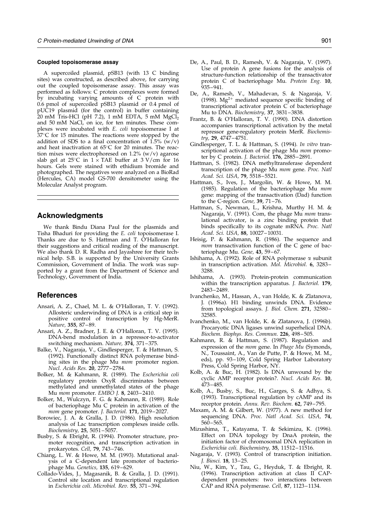#### <span id="page-8-0"></span>Coupled topoisomerase assay

A supercoiled plasmid, pSB13 (with 13 C binding sites) was constructed, as described above, for carrying out the coupled topoisomerase assay. This assay was performed as follows: C protein complexes were formed by incubating varying amounts of C protein with 0.6 pmol of supercoiled pSB13 plasmid or 0.4 pmol of pUC19 plasmid (for the control) in buffer containing 20 mM Tris-HCl (pH 7.2), 1 mM EDTA, 5 mM  $MgCl<sub>2</sub>$ and 50 mM NaCl, on ice, for ten minutes. These complexes were incubated with *E. coli* topoisomerase I at 37 $^{\circ}$ C for 15 minutes. The reactions were stopped by the addition of SDS to a final concentration of  $1.5\%$  (w/v) and heat inactivation at  $65^{\circ}$ C for 20 minutes. The reaction mixes were electrophoresed on  $1.2\%$  (w/v) agarose slab gel at  $25^{\circ}$ C in  $1 \times$  TAE buffer at  $3 \text{ V/cm}$  for  $16$ hours. Gels were stained with ethidium bromide and photographed. The negatives were analyzed on a BioRad (Hercules, CA) model GS-700 densitometer using the Molecular Analyst program.

# Acknowledgments

We thank Bindu Diana Paul for the plasmids and Tisha Bhaduri for providing the E. coli topoisomerase I. Thanks are due to S. Hattman and T. O'Halloran for their suggestions and critical reading of the manuscript. We also thank D. R. Radha and Jayashree for their technical help. S.B. is supported by the University Grants Commission, Government of India. The work was supported by a grant from the Department of Science and Technology, Government of India.

# References

- Ansari, A. Z., Chael, M. L. & O'Halloran, T. V. (1992). Allosteric underwinding of DNA is a critical step in positive control of transcription by Hg-MerR. Nature, 355, 87–89.
- Ansari, A. Z., Bradner, J. E. & O'Halloran, T. V. (1995). DNA-bend modulation in a repressor-to-activator switching mechanism. Nature, 374, 371-375.
- Balke, V., Nagaraja, V., Gindlesperger, T. & Hattman, S. (1992). Functionally distinct RNA polymerase binding sites in the phage Mu mom promoter region. Nucl. Acids Res. 20, 2777-2784.
- Bolker, M. & Kahmann, R. (1989). The Escherichia coli regulatory protein OxyR discriminates between methylated and unmethylated states of the phage Mu *mom* promoter. EMBO J. 8, 2403-2410.
- Bolker, M., Wulczyn, F. G. & Kahmann, R. (1989). Role of bacteriophage Mu C protein in activation of the mom gene promoter. J. Bacteriol. 171, 2019-2027.
- Borowiec, J. A. & Gralla, J. D. (1986). High resolution analysis of Lac transcription complexes inside cells. Biochemistry, 25, 5051-5057.
- Busby, S. & Ebright, R. (1994). Promoter structure, promoter recognition, and transcription activation in prokaryotes. Cell, 79, 743-746.
- Chiang, L. W. & Howe, M. M. (1993). Mutational analysis of a C-dependent late promoter of bacteriophage Mu. Genetics, 135, 619-629.
- Collado-Vides, J., Magasanik, B. & Gralla, J. D. (1991). Control site location and transcriptional regulation in Escherichia coli. Microbiol. Rev. 55, 371-394.
- De, A., Paul, B. D., Ramesh, V. & Nagaraja, V. (1997). Use of protein A gene fusions for the analysis of structure-function relationship of the transactivator protein C of bacteriophage Mu. Protein Eng. 10, 935± 941.
- De, A., Ramesh, V., Mahadevan, S. & Nagaraja, V. (1998).  $Mg^{2+}$  mediated sequence specific binding of transcriptional activator protein  $\tilde{C}$  of bacteriophage Mu to DNA. Biochemistry, 37, 3831-3838.
- Frantz, B. & O'Halloran, T. V. (1990). DNA distortion accompanies transcriptional activation by the metal repressor gene-regulatory protein MerR. Biochemistry, 29, 4747-4751.
- Gindlesperger, T. L. & Hattman, S. (1994). In vitro transcriptional activation of the phage Mu mom promoter by C protein. J. Bacteriol.  $176$ ,  $2885-2891$ .
- Hattman, S. (1982). DNA methyltransferase dependent transcription of the phage Mu mom gene. Proc. Natl Acad. Sci. USA, 79, 5518-5521.
- Hattman, S., Ives, J., Margolin, W. & Howe, M. M. (1985). Regulation of the bacteriophage Mu mom gene: mapping of the transactivation (Dad) function to the C-region. Gene,  $39$ ,  $71 - 76$ .
- Hattman, S., Newman, L., Krishna, Murthy H. M. & Nagaraja, V. (1991). Com, the phage Mu mom translational activator, is a zinc binding protein that binds specifically to its cognate mRNA. Proc. Natl Acad. Sci. USA, 88, 10027-10031.
- Heisig, P. & Kahmann, R. (1986). The sequence and mom transactivation function of the C gene of bacteriophage Mu. Gene, 43, 59-67.
- Ishihama, A. (1992). Role of RNA polymerase  $\alpha$  subunit in transcription activation. Mol. Microbiol. 6, 3283-3288.
- Ishihama, A. (1993). Protein-protein communication within the transcription apparatus. *J. Bacteriol.* **179**, 2483± 2489.
- Ivanchenko, M., Hassan, A., van Holde, K. & Zlatanova, J. (1996a). H1 binding unwinds DNA. Evidence from topological assays. J. Biol. Chem. 271, 32580-32585.
- Ivanchenko, M., van Holde, K. & Zlatanova, J. (1996b). Procaryotic DNA ligases unwind superhelical DNA. Biochem. Biophys. Res. Commun. 226, 498-505.
- Kahmann, R. & Hattman, S. (1987). Regulation and expression of the *mom* gene. In *Phage Mu* (Symonds, N., Toussaint, A., Van de Putte, P. & Howe, M. M., eds), pp. 93-109, Cold Spring Harbor Laboratory Press, Cold Spring Harbor, NY.
- Kolb, A. & Buc, H. (1982). Is DNA unwound by the cyclic AMP receptor protein?. Nucl. Acids Res. 10, 473± 485.
- Kolb, A., Busby, S., Buc, H., Garges, S. & Adhya, S. (1993). Transcriptional regulation by cAMP and its receptor protein. Annu. Rev. Biochem. 62, 749-795.
- Maxam, A. M. & Gilbert, W. (1977). A new method for sequencing DNA. Proc. Natl Acad. Sci. USA, 74,  $560 - 565.$
- Mizushima, T., Katayama, T. & Sekimizu, K. (1996). Effect on DNA topology by DnaA protein, the initiation factor of chromosomal DNA replication in Escherichia coli. Biochemistry, 35, 11512-11516.
- Nagaraja, V. (1993). Control of transcription initiation. J. Biosci. 18, 13-25.
- Niu, W., Kim, Y., Tau, G., Heyduk, T. & Ebright, R. (1996). Transcription activation at class II CAPdependent promoters: two interactions between CAP and RNA polymerase. Cell, 87, 1123-1134.